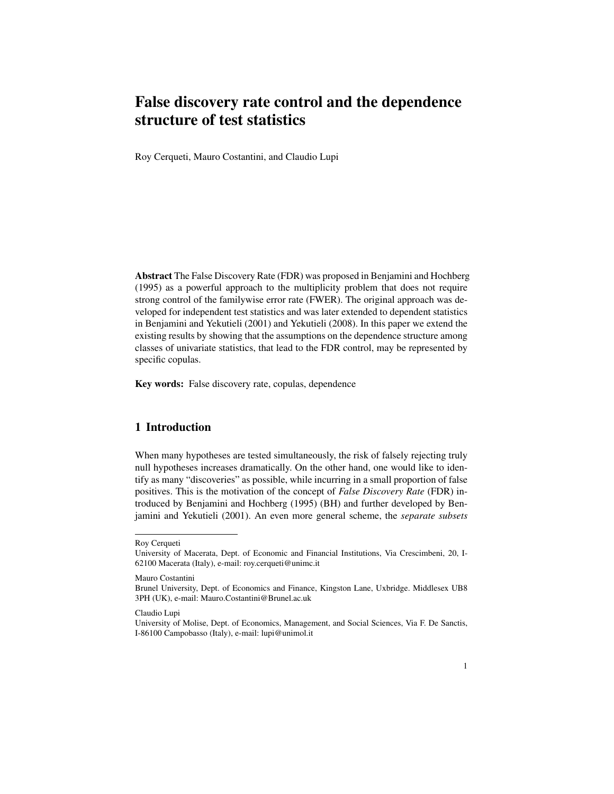# False discovery rate control and the dependence structure of test statistics

Roy Cerqueti, Mauro Costantini, and Claudio Lupi

Abstract The False Discovery Rate (FDR) was proposed in Benjamini and Hochberg (1995) as a powerful approach to the multiplicity problem that does not require strong control of the familywise error rate (FWER). The original approach was developed for independent test statistics and was later extended to dependent statistics in Benjamini and Yekutieli (2001) and Yekutieli (2008). In this paper we extend the existing results by showing that the assumptions on the dependence structure among classes of univariate statistics, that lead to the FDR control, may be represented by specific copulas.

Key words: False discovery rate, copulas, dependence

# 1 Introduction

When many hypotheses are tested simultaneously, the risk of falsely rejecting truly null hypotheses increases dramatically. On the other hand, one would like to identify as many "discoveries" as possible, while incurring in a small proportion of false positives. This is the motivation of the concept of *False Discovery Rate* (FDR) introduced by Benjamini and Hochberg (1995) (BH) and further developed by Benjamini and Yekutieli (2001). An even more general scheme, the *separate subsets*

Mauro Costantini

Roy Cerqueti

University of Macerata, Dept. of Economic and Financial Institutions, Via Crescimbeni, 20, I-62100 Macerata (Italy), e-mail: roy.cerqueti@unimc.it

Brunel University, Dept. of Economics and Finance, Kingston Lane, Uxbridge. Middlesex UB8 3PH (UK), e-mail: Mauro.Costantini@Brunel.ac.uk

Claudio Lupi

University of Molise, Dept. of Economics, Management, and Social Sciences, Via F. De Sanctis, I-86100 Campobasso (Italy), e-mail: lupi@unimol.it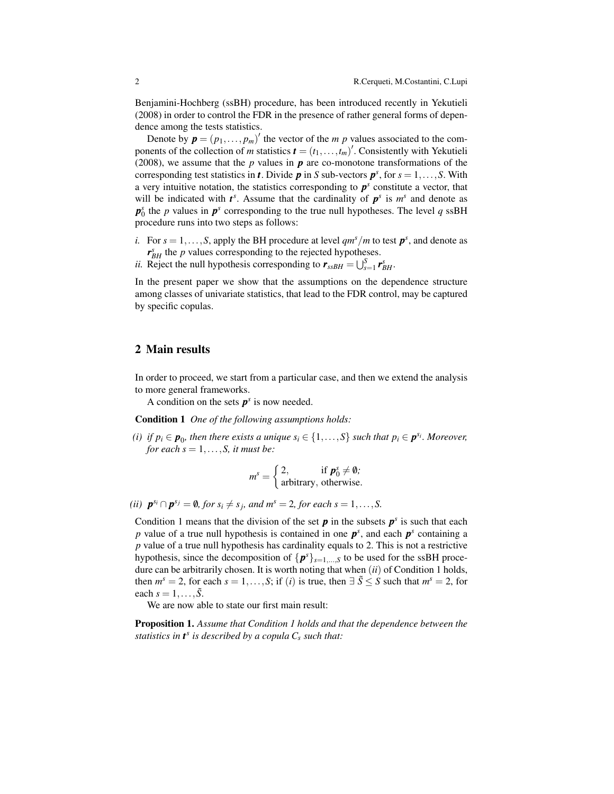Benjamini-Hochberg (ssBH) procedure, has been introduced recently in Yekutieli (2008) in order to control the FDR in the presence of rather general forms of dependence among the tests statistics.

Denote by  $\mathbf{p} = (p_1, \dots, p_m)'$  the vector of the *m p* values associated to the components of the collection of *m* statistics  $\mathbf{t} = (t_1, \ldots, t_m)'$ . Consistently with Yekutieli (2008), we assume that the *p* values in *p* are co-monotone transformations of the corresponding test statistics in *t*. Divide  $p$  in *S* sub-vectors  $p^s$ , for  $s = 1, \ldots, S$ . With a very intuitive notation, the statistics corresponding to  $p<sup>s</sup>$  constitute a vector, that will be indicated with  $t^s$ . Assume that the cardinality of  $p^s$  is  $m^s$  and denote as  $p_0^s$  the *p* values in  $p^s$  corresponding to the true null hypotheses. The level *q* ssBH procedure runs into two steps as follows:

- *i.* For  $s = 1, \ldots, S$ , apply the BH procedure at level  $qm^s/m$  to test  $p^s$ , and denote as  $r_{BH}^s$  the *p* values corresponding to the rejected hypotheses.
- *ii.* Reject the null hypothesis corresponding to  $\mathbf{r}_{ssBH} = \bigcup_{s=1}^{S} \mathbf{r}_{BH}^s$ .

In the present paper we show that the assumptions on the dependence structure among classes of univariate statistics, that lead to the FDR control, may be captured by specific copulas.

### 2 Main results

In order to proceed, we start from a particular case, and then we extend the analysis to more general frameworks.

A condition on the sets  $p^s$  is now needed.

Condition 1 *One of the following assumptions holds:*

*(i) if*  $p_i \in \mathbf{p}_0$ , then there exists a unique  $s_i \in \{1, \ldots, S\}$  such that  $p_i \in \mathbf{p}^{s_i}$ . Moreover, *for each*  $s = 1, \ldots, S$ *, it must be:* 

$$
m^{s} = \begin{cases} 2, & \text{if } \mathbf{p}_{0}^{s} \neq \mathbf{0}; \\ \text{arbitrary, otherwise.} \end{cases}
$$

*(ii)*  $\mathbf{p}^{s_i} \cap \mathbf{p}^{s_j} = \emptyset$ , for  $s_i \neq s_j$ , and  $m^s = 2$ , for each  $s = 1, \ldots, S$ .

Condition 1 means that the division of the set  $p$  in the subsets  $p^s$  is such that each *p* value of a true null hypothesis is contained in one  $p^s$ , and each  $p^s$  containing a *p* value of a true null hypothesis has cardinality equals to 2. This is not a restrictive hypothesis, since the decomposition of  $\{p^s\}_{s=1,\dots,S}$  to be used for the ssBH procedure can be arbitrarily chosen. It is worth noting that when (*ii*) of Condition 1 holds, then  $m^s = 2$ , for each  $s = 1, ..., S$ ; if (*i*) is true, then  $\exists \tilde{S} \leq S$  such that  $m^s = 2$ , for each  $s = 1, ..., S$ .

We are now able to state our first main result:

Proposition 1. *Assume that Condition 1 holds and that the dependence between the statistics in t<sup>s</sup> is described by a copula C<sup>s</sup> such that:*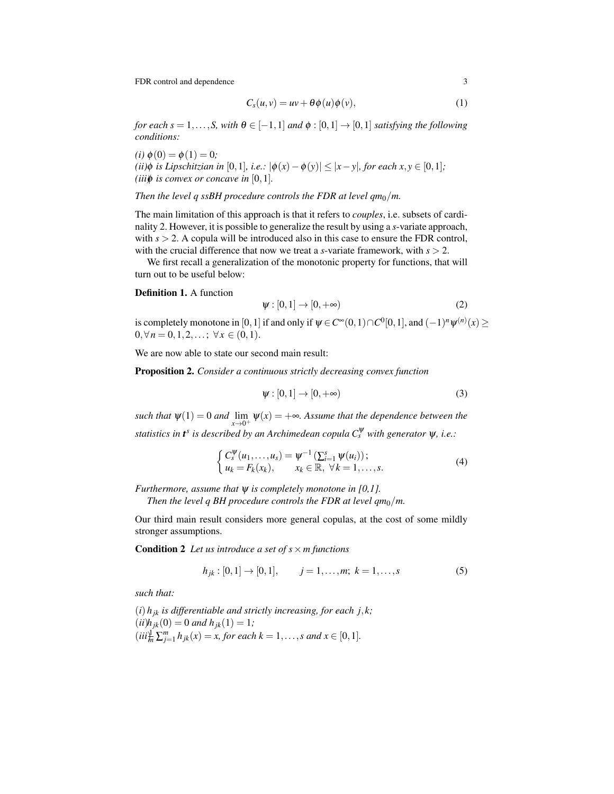FDR control and dependence 3

$$
C_s(u, v) = uv + \theta \phi(u)\phi(v), \qquad (1)
$$

*for each s* = 1,...,*S*, with  $\theta \in [-1,1]$  *and*  $\phi$  : [0,1]  $\rightarrow$  [0,1] *satisfying the following conditions:*

 $(i) \phi(0) = \phi(1) = 0;$ *(ii)* $\phi$  *is Lipschitzian in* [0,1]*, i.e.:*  $|\phi(x) - \phi(y)| \le |x - y|$ *, for each x, y* ∈ [0,1]*; (iii)* $\phi$  *is convex or concave in* [0, 1]*.* 

*Then the level q ssBH procedure controls the FDR at level*  $qm_0/m$ *.* 

The main limitation of this approach is that it refers to *couples*, i.e. subsets of cardinality 2. However, it is possible to generalize the result by using a *s*-variate approach, with  $s > 2$ . A copula will be introduced also in this case to ensure the FDR control, with the crucial difference that now we treat a *s*-variate framework, with *s* > 2.

We first recall a generalization of the monotonic property for functions, that will turn out to be useful below:

#### Definition 1. A function

$$
\psi : [0,1] \to [0,+\infty) \tag{2}
$$

is completely monotone in  $[0,1]$  if and only if  $\psi \in C^\infty(0,1) \cap C^0[0,1],$  and  $(-1)^n \psi^{(n)}(x)$   $\geq$  $0, \forall n = 0, 1, 2, \ldots; \forall x \in (0, 1).$ 

We are now able to state our second main result:

Proposition 2. *Consider a continuous strictly decreasing convex function*

$$
\psi : [0,1] \to [0,+\infty) \tag{3}
$$

*such that*  $\psi(1) = 0$  *and*  $\lim_{y \to \infty} \psi(x) = +\infty$ *. Assume that the dependence between the*  $x \rightarrow 0^+$ *statistics in t<sup>s</sup> is described by an Archimedean copula C*<sup>ψ</sup> *<sup>s</sup> with generator* ψ*, i.e.:*

$$
\begin{cases} C_s^{\Psi}(u_1,\ldots,u_s) = \Psi^{-1}\left(\sum_{i=1}^s \Psi(u_i)\right); \\ u_k = F_k(x_k), \qquad x_k \in \mathbb{R}, \ \forall k = 1,\ldots,s. \end{cases} \tag{4}
$$

*Furthermore, assume that* ψ *is completely monotone in [0,1].*

*Then the level q BH procedure controls the FDR at level*  $qm_0/m$ *.* 

Our third main result considers more general copulas, at the cost of some mildly stronger assumptions.

**Condition 2** Let us introduce a set of  $s \times m$  functions

$$
h_{jk} : [0,1] \to [0,1], \qquad j = 1, \dots, m; \ k = 1, \dots, s \tag{5}
$$

*such that:*

 $(i)$   $h_{ik}$  *is differentiable and strictly increasing, for each j, k;*  $(iii)$ *h*<sub>jk</sub> $(0) = 0$  *and h*<sub>jk</sub> $(1) = 1$ *;*  $(iii^{\text{J}}_{\text{m}}\sum_{j=1}^{m}h_{jk}(x) = x$ , for each  $k = 1,...,s$  and  $x \in [0,1]$ .